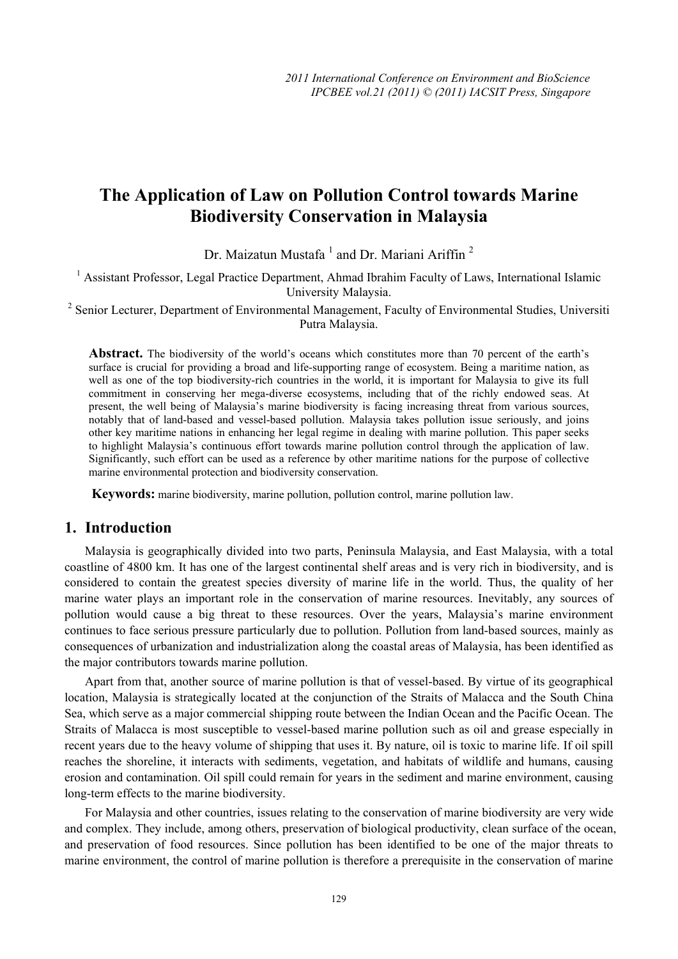# **The Application of Law on Pollution Control towards Marine Biodiversity Conservation in Malaysia**

Dr. Maizatun Mustafa<sup>1</sup> and Dr. Mariani Ariffin<sup>2</sup>

<sup>1</sup> Assistant Professor, Legal Practice Department, Ahmad Ibrahim Faculty of Laws, International Islamic University Malaysia.

<sup>2</sup> Senior Lecturer, Department of Environmental Management, Faculty of Environmental Studies, Universiti Putra Malaysia.

Abstract. The biodiversity of the world's oceans which constitutes more than 70 percent of the earth's surface is crucial for providing a broad and life-supporting range of ecosystem. Being a maritime nation, as well as one of the top biodiversity-rich countries in the world, it is important for Malaysia to give its full commitment in conserving her mega-diverse ecosystems, including that of the richly endowed seas. At present, the well being of Malaysia's marine biodiversity is facing increasing threat from various sources, notably that of land-based and vessel-based pollution. Malaysia takes pollution issue seriously, and joins other key maritime nations in enhancing her legal regime in dealing with marine pollution. This paper seeks to highlight Malaysia's continuous effort towards marine pollution control through the application of law. Significantly, such effort can be used as a reference by other maritime nations for the purpose of collective marine environmental protection and biodiversity conservation.

**Keywords:** marine biodiversity, marine pollution, pollution control, marine pollution law.

## **1. Introduction**

Malaysia is geographically divided into two parts, Peninsula Malaysia, and East Malaysia, with a total coastline of 4800 km. It has one of the largest continental shelf areas and is very rich in biodiversity, and is considered to contain the greatest species diversity of marine life in the world. Thus, the quality of her marine water plays an important role in the conservation of marine resources. Inevitably, any sources of pollution would cause a big threat to these resources. Over the years, Malaysia's marine environment continues to face serious pressure particularly due to pollution. Pollution from land-based sources, mainly as consequences of urbanization and industrialization along the coastal areas of Malaysia, has been identified as the major contributors towards marine pollution.

Apart from that, another source of marine pollution is that of vessel-based. By virtue of its geographical location, Malaysia is strategically located at the conjunction of the Straits of Malacca and the South China Sea, which serve as a major commercial shipping route between the Indian Ocean and the Pacific Ocean. The Straits of Malacca is most susceptible to vessel-based marine pollution such as oil and grease especially in recent years due to the heavy volume of shipping that uses it. By nature, oil is toxic to marine life. If oil spill reaches the shoreline, it interacts with sediments, vegetation, and habitats of wildlife and humans, causing erosion and contamination. Oil spill could remain for years in the sediment and marine environment, causing long-term effects to the marine biodiversity.

For Malaysia and other countries, issues relating to the conservation of marine biodiversity are very wide and complex. They include, among others, preservation of biological productivity, clean surface of the ocean, and preservation of food resources. Since pollution has been identified to be one of the major threats to marine environment, the control of marine pollution is therefore a prerequisite in the conservation of marine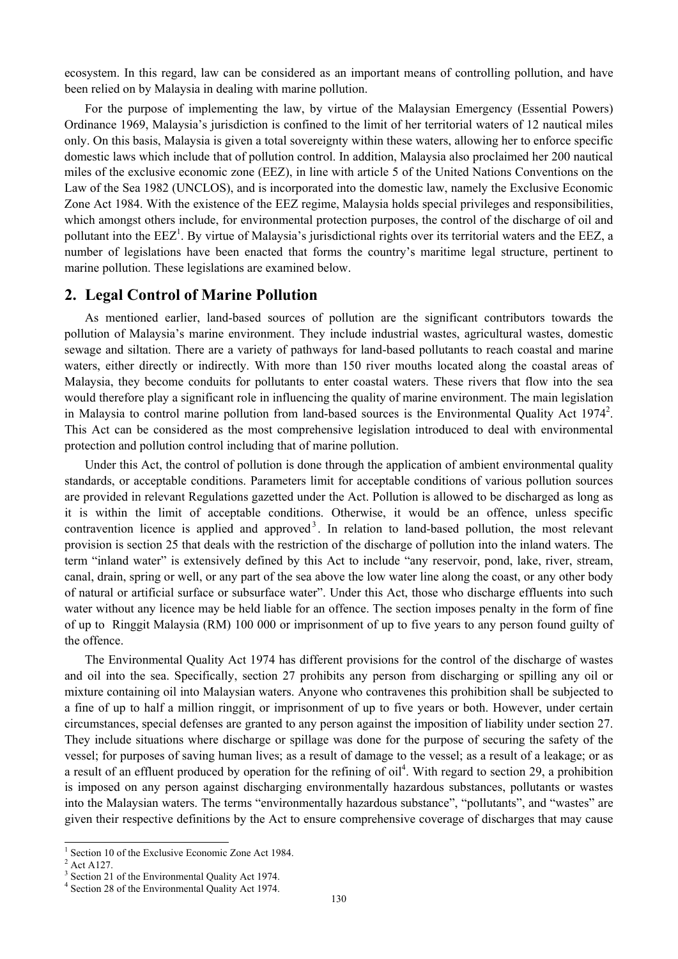ecosystem. In this regard, law can be considered as an important means of controlling pollution, and have been relied on by Malaysia in dealing with marine pollution.

For the purpose of implementing the law, by virtue of the Malaysian Emergency (Essential Powers) Ordinance 1969, Malaysia's jurisdiction is confined to the limit of her territorial waters of 12 nautical miles only. On this basis, Malaysia is given a total sovereignty within these waters, allowing her to enforce specific domestic laws which include that of pollution control. In addition, Malaysia also proclaimed her 200 nautical miles of the exclusive economic zone (EEZ), in line with article 5 of the United Nations Conventions on the Law of the Sea 1982 (UNCLOS), and is incorporated into the domestic law, namely the Exclusive Economic Zone Act 1984. With the existence of the EEZ regime, Malaysia holds special privileges and responsibilities, which amongst others include, for environmental protection purposes, the control of the discharge of oil and pollutant into the  $EEZ^1$ . By virtue of Malaysia's jurisdictional rights over its territorial waters and the  $EEZ$ , a number of legislations have been enacted that forms the country's maritime legal structure, pertinent to marine pollution. These legislations are examined below.

#### **2. Legal Control of Marine Pollution**

As mentioned earlier, land-based sources of pollution are the significant contributors towards the pollution of Malaysia's marine environment. They include industrial wastes, agricultural wastes, domestic sewage and siltation. There are a variety of pathways for land-based pollutants to reach coastal and marine waters, either directly or indirectly. With more than 150 river mouths located along the coastal areas of Malaysia, they become conduits for pollutants to enter coastal waters. These rivers that flow into the sea would therefore play a significant role in influencing the quality of marine environment. The main legislation in Malaysia to control marine pollution from land-based sources is the Environmental Quality Act 1974<sup>2</sup>. This Act can be considered as the most comprehensive legislation introduced to deal with environmental protection and pollution control including that of marine pollution.

Under this Act, the control of pollution is done through the application of ambient environmental quality standards, or acceptable conditions. Parameters limit for acceptable conditions of various pollution sources are provided in relevant Regulations gazetted under the Act. Pollution is allowed to be discharged as long as it is within the limit of acceptable conditions. Otherwise, it would be an offence, unless specific contravention licence is applied and approved<sup>3</sup>. In relation to land-based pollution, the most relevant provision is section 25 that deals with the restriction of the discharge of pollution into the inland waters. The term "inland water" is extensively defined by this Act to include "any reservoir, pond, lake, river, stream, canal, drain, spring or well, or any part of the sea above the low water line along the coast, or any other body of natural or artificial surface or subsurface water". Under this Act, those who discharge effluents into such water without any licence may be held liable for an offence. The section imposes penalty in the form of fine of up to Ringgit Malaysia (RM) 100 000 or imprisonment of up to five years to any person found guilty of the offence.

The Environmental Quality Act 1974 has different provisions for the control of the discharge of wastes and oil into the sea. Specifically, section 27 prohibits any person from discharging or spilling any oil or mixture containing oil into Malaysian waters. Anyone who contravenes this prohibition shall be subjected to a fine of up to half a million ringgit, or imprisonment of up to five years or both. However, under certain circumstances, special defenses are granted to any person against the imposition of liability under section 27. They include situations where discharge or spillage was done for the purpose of securing the safety of the vessel; for purposes of saving human lives; as a result of damage to the vessel; as a result of a leakage; or as a result of an effluent produced by operation for the refining of  $\text{oil}^4$ . With regard to section 29, a prohibition is imposed on any person against discharging environmentally hazardous substances, pollutants or wastes into the Malaysian waters. The terms "environmentally hazardous substance", "pollutants", and "wastes" are given their respective definitions by the Act to ensure comprehensive coverage of discharges that may cause

 $\overline{a}$ 

<sup>1</sup> Section 10 of the Exclusive Economic Zone Act 1984.

Act A127.

<sup>3</sup> Section 21 of the Environmental Quality Act 1974.

Section 28 of the Environmental Quality Act 1974.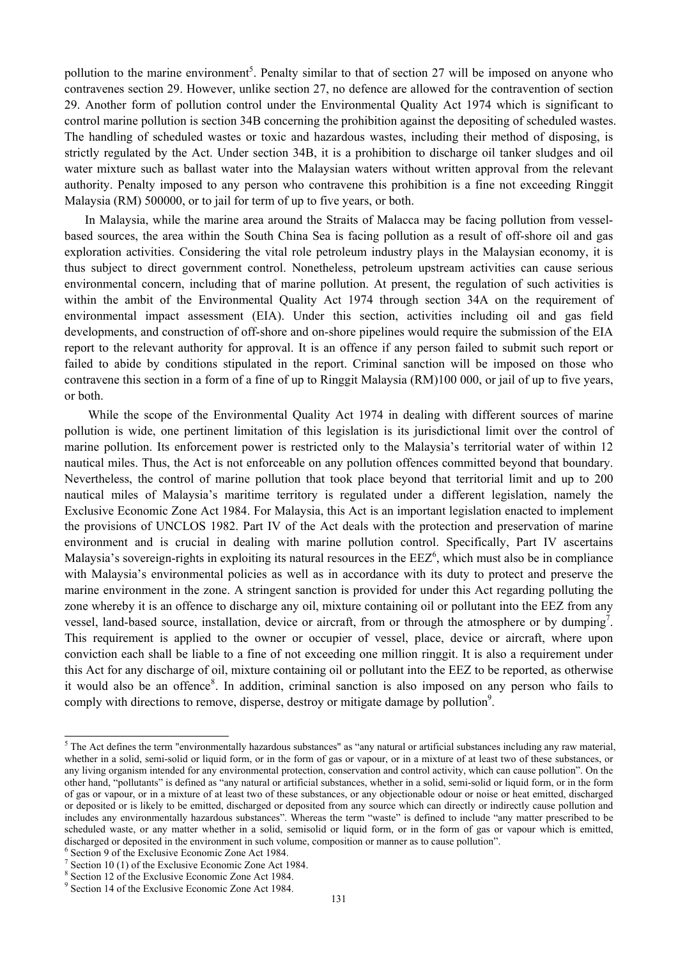pollution to the marine environment<sup>5</sup>. Penalty similar to that of section 27 will be imposed on anyone who contravenes section 29. However, unlike section 27, no defence are allowed for the contravention of section 29. Another form of pollution control under the Environmental Quality Act 1974 which is significant to control marine pollution is section 34B concerning the prohibition against the depositing of scheduled wastes. The handling of scheduled wastes or toxic and hazardous wastes, including their method of disposing, is strictly regulated by the Act. Under section 34B, it is a prohibition to discharge oil tanker sludges and oil water mixture such as ballast water into the Malaysian waters without written approval from the relevant authority. Penalty imposed to any person who contravene this prohibition is a fine not exceeding Ringgit Malaysia (RM) 500000, or to jail for term of up to five years, or both.

In Malaysia, while the marine area around the Straits of Malacca may be facing pollution from vesselbased sources, the area within the South China Sea is facing pollution as a result of off-shore oil and gas exploration activities. Considering the vital role petroleum industry plays in the Malaysian economy, it is thus subject to direct government control. Nonetheless, petroleum upstream activities can cause serious environmental concern, including that of marine pollution. At present, the regulation of such activities is within the ambit of the Environmental Quality Act 1974 through section 34A on the requirement of environmental impact assessment (EIA). Under this section, activities including oil and gas field developments, and construction of off-shore and on-shore pipelines would require the submission of the EIA report to the relevant authority for approval. It is an offence if any person failed to submit such report or failed to abide by conditions stipulated in the report. Criminal sanction will be imposed on those who contravene this section in a form of a fine of up to Ringgit Malaysia (RM)100 000, or jail of up to five years, or both.

 While the scope of the Environmental Quality Act 1974 in dealing with different sources of marine pollution is wide, one pertinent limitation of this legislation is its jurisdictional limit over the control of marine pollution. Its enforcement power is restricted only to the Malaysia's territorial water of within 12 nautical miles. Thus, the Act is not enforceable on any pollution offences committed beyond that boundary. Nevertheless, the control of marine pollution that took place beyond that territorial limit and up to 200 nautical miles of Malaysia's maritime territory is regulated under a different legislation, namely the Exclusive Economic Zone Act 1984. For Malaysia, this Act is an important legislation enacted to implement the provisions of UNCLOS 1982. Part IV of the Act deals with the protection and preservation of marine environment and is crucial in dealing with marine pollution control. Specifically, Part IV ascertains Malaysia's sovereign-rights in exploiting its natural resources in the  $EZ^6$ , which must also be in compliance with Malaysia's environmental policies as well as in accordance with its duty to protect and preserve the marine environment in the zone. A stringent sanction is provided for under this Act regarding polluting the zone whereby it is an offence to discharge any oil, mixture containing oil or pollutant into the EEZ from any vessel, land-based source, installation, device or aircraft, from or through the atmosphere or by dumping<sup>7</sup>. This requirement is applied to the owner or occupier of vessel, place, device or aircraft, where upon conviction each shall be liable to a fine of not exceeding one million ringgit. It is also a requirement under this Act for any discharge of oil, mixture containing oil or pollutant into the EEZ to be reported, as otherwise it would also be an offence<sup>8</sup>. In addition, criminal sanction is also imposed on any person who fails to comply with directions to remove, disperse, destroy or mitigate damage by pollution<sup>9</sup>.

<sup>&</sup>lt;sup>5</sup> The Act defines the term "environmentally hazardous substances" as "any natural or artificial substances including any raw material, whether in a solid, semi-solid or liquid form, or in the form of gas or vapour, or in a mixture of at least two of these substances, or any living organism intended for any environmental protection, conservation and control activity, which can cause pollution". On the other hand, "pollutants" is defined as "any natural or artificial substances, whether in a solid, semi-solid or liquid form, or in the form of gas or vapour, or in a mixture of at least two of these substances, or any objectionable odour or noise or heat emitted, discharged or deposited or is likely to be emitted, discharged or deposited from any source which can directly or indirectly cause pollution and includes any environmentally hazardous substances". Whereas the term "waste" is defined to include "any matter prescribed to be scheduled waste, or any matter whether in a solid, semisolid or liquid form, or in the form of gas or vapour which is emitted, discharged or deposited in the environment in such volume, composition or manner as to cause pollution". 6

<sup>&</sup>lt;sup>6</sup> Section 9 of the Exclusive Economic Zone Act 1984.

Section 10 (1) of the Exclusive Economic Zone Act 1984.

Section 12 of the Exclusive Economic Zone Act 1984.

<sup>&</sup>lt;sup>9</sup> Section 14 of the Exclusive Economic Zone Act 1984.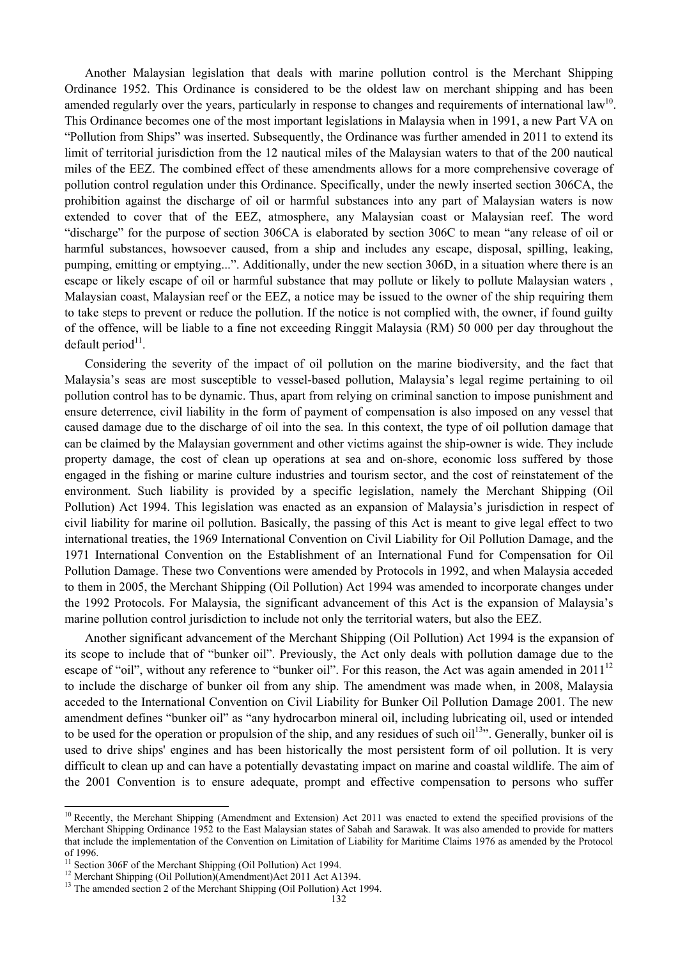Another Malaysian legislation that deals with marine pollution control is the Merchant Shipping Ordinance 1952. This Ordinance is considered to be the oldest law on merchant shipping and has been amended regularly over the years, particularly in response to changes and requirements of international law<sup>10</sup>. This Ordinance becomes one of the most important legislations in Malaysia when in 1991, a new Part VA on "Pollution from Ships" was inserted. Subsequently, the Ordinance was further amended in 2011 to extend its limit of territorial jurisdiction from the 12 nautical miles of the Malaysian waters to that of the 200 nautical miles of the EEZ. The combined effect of these amendments allows for a more comprehensive coverage of pollution control regulation under this Ordinance. Specifically, under the newly inserted section 306CA, the prohibition against the discharge of oil or harmful substances into any part of Malaysian waters is now extended to cover that of the EEZ, atmosphere, any Malaysian coast or Malaysian reef. The word "discharge" for the purpose of section 306CA is elaborated by section 306C to mean "any release of oil or harmful substances, howsoever caused, from a ship and includes any escape, disposal, spilling, leaking, pumping, emitting or emptying...". Additionally, under the new section 306D, in a situation where there is an escape or likely escape of oil or harmful substance that may pollute or likely to pollute Malaysian waters , Malaysian coast, Malaysian reef or the EEZ, a notice may be issued to the owner of the ship requiring them to take steps to prevent or reduce the pollution. If the notice is not complied with, the owner, if found guilty of the offence, will be liable to a fine not exceeding Ringgit Malaysia (RM) 50 000 per day throughout the default period $11$ .

Considering the severity of the impact of oil pollution on the marine biodiversity, and the fact that Malaysia's seas are most susceptible to vessel-based pollution, Malaysia's legal regime pertaining to oil pollution control has to be dynamic. Thus, apart from relying on criminal sanction to impose punishment and ensure deterrence, civil liability in the form of payment of compensation is also imposed on any vessel that caused damage due to the discharge of oil into the sea. In this context, the type of oil pollution damage that can be claimed by the Malaysian government and other victims against the ship-owner is wide. They include property damage, the cost of clean up operations at sea and on-shore, economic loss suffered by those engaged in the fishing or marine culture industries and tourism sector, and the cost of reinstatement of the environment. Such liability is provided by a specific legislation, namely the Merchant Shipping (Oil Pollution) Act 1994. This legislation was enacted as an expansion of Malaysia's jurisdiction in respect of civil liability for marine oil pollution. Basically, the passing of this Act is meant to give legal effect to two international treaties, the 1969 International Convention on Civil Liability for Oil Pollution Damage, and the 1971 International Convention on the Establishment of an International Fund for Compensation for Oil Pollution Damage. These two Conventions were amended by Protocols in 1992, and when Malaysia acceded to them in 2005, the Merchant Shipping (Oil Pollution) Act 1994 was amended to incorporate changes under the 1992 Protocols. For Malaysia, the significant advancement of this Act is the expansion of Malaysia's marine pollution control jurisdiction to include not only the territorial waters, but also the EEZ.

Another significant advancement of the Merchant Shipping (Oil Pollution) Act 1994 is the expansion of its scope to include that of "bunker oil". Previously, the Act only deals with pollution damage due to the escape of "oil", without any reference to "bunker oil". For this reason, the Act was again amended in 2011<sup>12</sup> to include the discharge of bunker oil from any ship. The amendment was made when, in 2008, Malaysia acceded to the International Convention on Civil Liability for Bunker Oil Pollution Damage 2001. The new amendment defines "bunker oil" as "any hydrocarbon mineral oil, including lubricating oil, used or intended to be used for the operation or propulsion of the ship, and any residues of such oil<sup>13</sup>. Generally, bunker oil is used to drive ships' engines and has been historically the most persistent form of oil pollution. It is very difficult to clean up and can have a potentially devastating impact on marine and coastal wildlife. The aim of the 2001 Convention is to ensure adequate, prompt and effective compensation to persons who suffer

 $\overline{a}$ 

 $10$  Recently, the Merchant Shipping (Amendment and Extension) Act 2011 was enacted to extend the specified provisions of the Merchant Shipping Ordinance 1952 to the East Malaysian states of Sabah and Sarawak. It was also amended to provide for matters that include the implementation of the Convention on Limitation of Liability for Maritime Claims 1976 as amended by the Protocol of 1996.

<sup>&</sup>lt;sup>11</sup> Section 306F of the Merchant Shipping (Oil Pollution) Act 1994.<br><sup>12</sup> Merchant Shipping (Oil Pollution)(Amendment)Act 2011 Act A1394.

<sup>&</sup>lt;sup>12</sup> Merchant Shipping (Oil Pollution) (Amendment) Act 2011 Act A1394.<br><sup>13</sup> The amended section 2 of the Merchant Shipping (Oil Pollution) Act 1994.